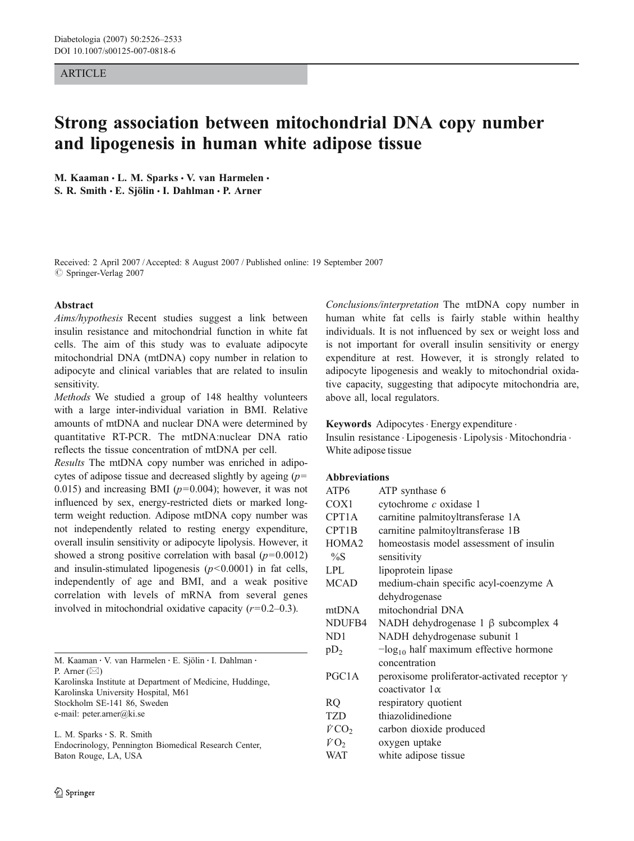## **ARTICLE**

# Strong association between mitochondrial DNA copy number and lipogenesis in human white adipose tissue

M. Kaaman · L. M. Sparks · V. van Harmelen · S. R. Smith · E. Sjölin · I. Dahlman · P. Arner

Received: 2 April 2007 /Accepted: 8 August 2007 / Published online: 19 September 2007  $\oslash$  Springer-Verlag 2007

#### Abstract

Aims/hypothesis Recent studies suggest a link between insulin resistance and mitochondrial function in white fat cells. The aim of this study was to evaluate adipocyte mitochondrial DNA (mtDNA) copy number in relation to adipocyte and clinical variables that are related to insulin sensitivity.

Methods We studied a group of 148 healthy volunteers with a large inter-individual variation in BMI. Relative amounts of mtDNA and nuclear DNA were determined by quantitative RT-PCR. The mtDNA:nuclear DNA ratio reflects the tissue concentration of mtDNA per cell.

Results The mtDNA copy number was enriched in adipocytes of adipose tissue and decreased slightly by ageing  $(p=$ 0.015) and increasing BMI ( $p=0.004$ ); however, it was not influenced by sex, energy-restricted diets or marked longterm weight reduction. Adipose mtDNA copy number was not independently related to resting energy expenditure, overall insulin sensitivity or adipocyte lipolysis. However, it showed a strong positive correlation with basal  $(p=0.0012)$ and insulin-stimulated lipogenesis  $(p<0.0001)$  in fat cells, independently of age and BMI, and a weak positive correlation with levels of mRNA from several genes involved in mitochondrial oxidative capacity  $(r=0.2-0.3)$ .

| M. Kaaman · V. van Harmelen · E. Sjölin · I. Dahlman ·    |  |
|-----------------------------------------------------------|--|
| P. Arner $(\boxtimes)$                                    |  |
| Karolinska Institute at Department of Medicine, Huddinge, |  |
| Karolinska University Hospital, M61                       |  |
| Stockholm SE-141 86, Sweden                               |  |
| e-mail: peter.arner@ki.se                                 |  |
| L. M. Sparks $\cdot$ S. R. Smith                          |  |
| Endocripology Pennington Riomedical Research Center       |  |

Endocrinology, Pennington Biomedical Research Center, Baton Rouge, LA, USA

Conclusions/interpretation The mtDNA copy number in human white fat cells is fairly stable within healthy individuals. It is not influenced by sex or weight loss and is not important for overall insulin sensitivity or energy expenditure at rest. However, it is strongly related to adipocyte lipogenesis and weakly to mitochondrial oxidative capacity, suggesting that adipocyte mitochondria are, above all, local regulators.

Keywords Adipocytes · Energy expenditure ·

Insulin resistance . Lipogenesis. Lipolysis. Mitochondria . White adipose tissue

# Abbreviations

| ATP <sub>6</sub>   | ATP synthase 6                                      |
|--------------------|-----------------------------------------------------|
| COX <sub>1</sub>   | cytochrome c oxidase 1                              |
| CPT <sub>1</sub> A | carnitine palmitoyltransferase 1A                   |
| CPT1B              | carnitine palmitoyltransferase 1B                   |
| HOMA <sub>2</sub>  | homeostasis model assessment of insulin             |
| $\%S$              | sensitivity                                         |
| <b>LPL</b>         | lipoprotein lipase                                  |
| <b>MCAD</b>        | medium-chain specific acyl-coenzyme A               |
|                    | dehydrogenase                                       |
| mtDNA              | mitochondrial DNA                                   |
| NDUFB4             | NADH dehydrogenase $1 \beta$ subcomplex 4           |
| ND <sub>1</sub>    | NADH dehydrogenase subunit 1                        |
| $pD_2$             | $-\log_{10}$ half maximum effective hormone         |
|                    | concentration                                       |
| PGC <sub>1</sub> A | peroxisome proliferator-activated receptor $\gamma$ |
|                    | coactivator $1\alpha$                               |
| <b>RQ</b>          | respiratory quotient                                |
| <b>TZD</b>         | thiazolidinedione                                   |
| $\dot{V}CO_2$      | carbon dioxide produced                             |
| $\dot{V}O_2$       | oxygen uptake                                       |
| WAT                | white adipose tissue                                |
|                    |                                                     |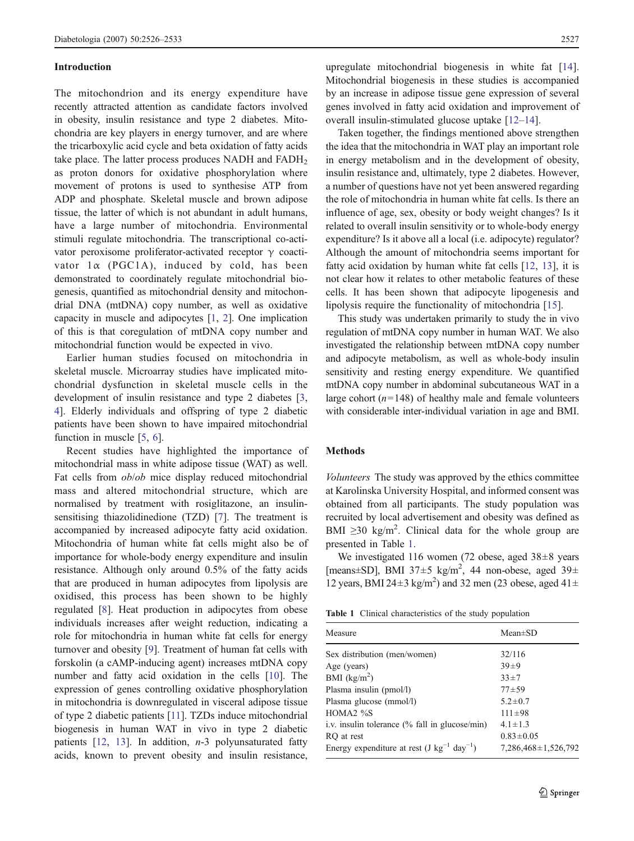#### Introduction

The mitochondrion and its energy expenditure have recently attracted attention as candidate factors involved in obesity, insulin resistance and type 2 diabetes. Mitochondria are key players in energy turnover, and are where the tricarboxylic acid cycle and beta oxidation of fatty acids take place. The latter process produces NADH and  $FADH<sub>2</sub>$ as proton donors for oxidative phosphorylation where movement of protons is used to synthesise ATP from ADP and phosphate. Skeletal muscle and brown adipose tissue, the latter of which is not abundant in adult humans, have a large number of mitochondria. Environmental stimuli regulate mitochondria. The transcriptional co-activator peroxisome proliferator-activated receptor  $\gamma$  coactivator  $1\alpha$  (PGC1A), induced by cold, has been demonstrated to coordinately regulate mitochondrial biogenesis, quantified as mitochondrial density and mitochondrial DNA (mtDNA) copy number, as well as oxidative capacity in muscle and adipocytes [\[1](#page-7-0), [2](#page-7-0)]. One implication of this is that coregulation of mtDNA copy number and mitochondrial function would be expected in vivo.

Earlier human studies focused on mitochondria in skeletal muscle. Microarray studies have implicated mitochondrial dysfunction in skeletal muscle cells in the development of insulin resistance and type 2 diabetes [[3,](#page-7-0) [4](#page-7-0)]. Elderly individuals and offspring of type 2 diabetic patients have been shown to have impaired mitochondrial function in muscle [[5,](#page-7-0) [6](#page-7-0)].

Recent studies have highlighted the importance of mitochondrial mass in white adipose tissue (WAT) as well. Fat cells from ob/ob mice display reduced mitochondrial mass and altered mitochondrial structure, which are normalised by treatment with rosiglitazone, an insulinsensitising thiazolidinedione (TZD) [[7\]](#page-7-0). The treatment is accompanied by increased adipocyte fatty acid oxidation. Mitochondria of human white fat cells might also be of importance for whole-body energy expenditure and insulin resistance. Although only around 0.5% of the fatty acids that are produced in human adipocytes from lipolysis are oxidised, this process has been shown to be highly regulated [[8\]](#page-7-0). Heat production in adipocytes from obese individuals increases after weight reduction, indicating a role for mitochondria in human white fat cells for energy turnover and obesity [[9\]](#page-7-0). Treatment of human fat cells with forskolin (a cAMP-inducing agent) increases mtDNA copy number and fatty acid oxidation in the cells [[10](#page-7-0)]. The expression of genes controlling oxidative phosphorylation in mitochondria is downregulated in visceral adipose tissue of type 2 diabetic patients [\[11](#page-7-0)]. TZDs induce mitochondrial biogenesis in human WAT in vivo in type 2 diabetic patients  $[12, 13]$  $[12, 13]$  $[12, 13]$  $[12, 13]$ . In addition,  $n-3$  polyunsaturated fatty acids, known to prevent obesity and insulin resistance,

upregulate mitochondrial biogenesis in white fat [\[14](#page-7-0)]. Mitochondrial biogenesis in these studies is accompanied by an increase in adipose tissue gene expression of several genes involved in fatty acid oxidation and improvement of overall insulin-stimulated glucose uptake [[12](#page-7-0)–[14\]](#page-7-0).

Taken together, the findings mentioned above strengthen the idea that the mitochondria in WAT play an important role in energy metabolism and in the development of obesity, insulin resistance and, ultimately, type 2 diabetes. However, a number of questions have not yet been answered regarding the role of mitochondria in human white fat cells. Is there an influence of age, sex, obesity or body weight changes? Is it related to overall insulin sensitivity or to whole-body energy expenditure? Is it above all a local (i.e. adipocyte) regulator? Although the amount of mitochondria seems important for fatty acid oxidation by human white fat cells [\[12](#page-7-0), [13](#page-7-0)], it is not clear how it relates to other metabolic features of these cells. It has been shown that adipocyte lipogenesis and lipolysis require the functionality of mitochondria [[15\]](#page-7-0).

This study was undertaken primarily to study the in vivo regulation of mtDNA copy number in human WAT. We also investigated the relationship between mtDNA copy number and adipocyte metabolism, as well as whole-body insulin sensitivity and resting energy expenditure. We quantified mtDNA copy number in abdominal subcutaneous WAT in a large cohort  $(n=148)$  of healthy male and female volunteers with considerable inter-individual variation in age and BMI.

## Methods

Volunteers The study was approved by the ethics committee at Karolinska University Hospital, and informed consent was obtained from all participants. The study population was recruited by local advertisement and obesity was defined as BMI  $\geq$ 30 kg/m<sup>2</sup>. Clinical data for the whole group are presented in Table 1.

We investigated 116 women (72 obese, aged 38±8 years [means±SD], BMI 37±5 kg/m<sup>2</sup>, 44 non-obese, aged 39± 12 years, BMI 24 $\pm$ 3 kg/m<sup>2</sup>) and 32 men (23 obese, aged 41 $\pm$ 

|  |  | <b>Table 1</b> Clinical characteristics of the study population |  |  |  |
|--|--|-----------------------------------------------------------------|--|--|--|
|--|--|-----------------------------------------------------------------|--|--|--|

| Measure                                           | $Mean \pm SD$             |
|---------------------------------------------------|---------------------------|
| Sex distribution (men/women)                      | 32/116                    |
| Age (years)                                       | $39 + 9$                  |
| BMI $(kg/m2)$                                     | $33 + 7$                  |
| Plasma insulin (pmol/l)                           | $77 + 59$                 |
| Plasma glucose (mmol/l)                           | $5.2 \pm 0.7$             |
| HOMA <sub>2</sub> % $\%$ S                        | $111 \pm 98$              |
| i.v. insulin tolerance $(\%$ fall in glucose/min) | $4.1 \pm 1.3$             |
| RO at rest                                        | $0.83 \pm 0.05$           |
| Energy expenditure at rest $(J kg^{-1} day^{-1})$ | $7,286,468 \pm 1,526,792$ |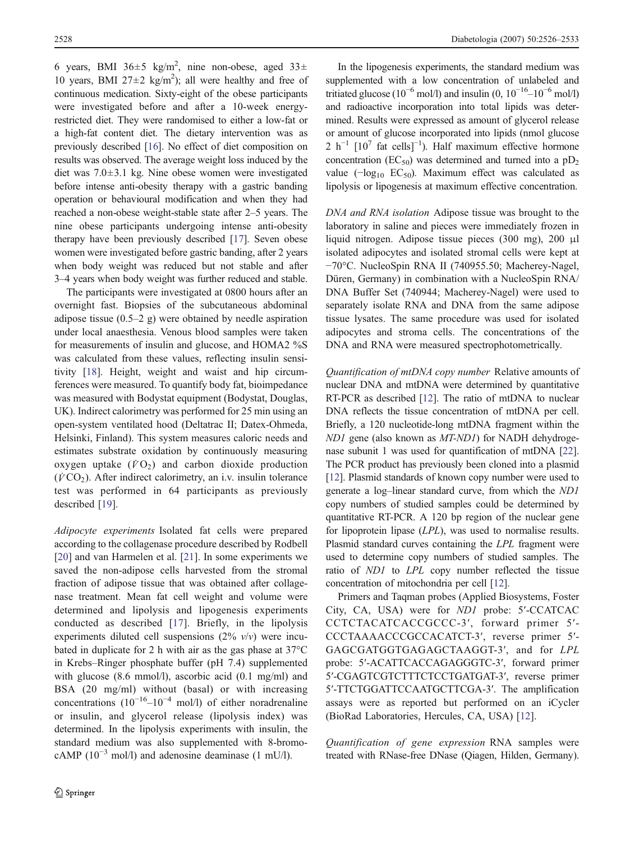6 years, BMI 36 $\pm$ 5 kg/m<sup>2</sup>, nine non-obese, aged 33 $\pm$ 10 years, BMI 27 $\pm$ 2 kg/m<sup>2</sup>); all were healthy and free of continuous medication. Sixty-eight of the obese participants were investigated before and after a 10-week energyrestricted diet. They were randomised to either a low-fat or a high-fat content diet. The dietary intervention was as previously described [[16\]](#page-7-0). No effect of diet composition on results was observed. The average weight loss induced by the diet was 7.0±3.1 kg. Nine obese women were investigated before intense anti-obesity therapy with a gastric banding operation or behavioural modification and when they had reached a non-obese weight-stable state after 2–5 years. The nine obese participants undergoing intense anti-obesity therapy have been previously described [\[17\]](#page-7-0). Seven obese women were investigated before gastric banding, after 2 years when body weight was reduced but not stable and after 3–4 years when body weight was further reduced and stable.

The participants were investigated at 0800 hours after an overnight fast. Biopsies of the subcutaneous abdominal adipose tissue (0.5–2 g) were obtained by needle aspiration under local anaesthesia. Venous blood samples were taken for measurements of insulin and glucose, and HOMA2 %S was calculated from these values, reflecting insulin sensitivity [\[18](#page-7-0)]. Height, weight and waist and hip circumferences were measured. To quantify body fat, bioimpedance was measured with Bodystat equipment (Bodystat, Douglas, UK). Indirect calorimetry was performed for 25 min using an open-system ventilated hood (Deltatrac II; Datex-Ohmeda, Helsinki, Finland). This system measures caloric needs and estimates substrate oxidation by continuously measuring oxygen uptake  $(\dot{V}O_2)$  and carbon dioxide production  $(VCO<sub>2</sub>)$ . After indirect calorimetry, an i.v. insulin tolerance test was performed in 64 participants as previously described [\[19](#page-7-0)].

Adipocyte experiments Isolated fat cells were prepared according to the collagenase procedure described by Rodbell [\[20](#page-7-0)] and van Harmelen et al. [[21\]](#page-7-0). In some experiments we saved the non-adipose cells harvested from the stromal fraction of adipose tissue that was obtained after collagenase treatment. Mean fat cell weight and volume were determined and lipolysis and lipogenesis experiments conducted as described [\[17\]](#page-7-0). Briefly, in the lipolysis experiments diluted cell suspensions  $(2\% \nu/\nu)$  were incubated in duplicate for 2 h with air as the gas phase at 37°C in Krebs–Ringer phosphate buffer (pH 7.4) supplemented with glucose (8.6 mmol/l), ascorbic acid (0.1 mg/ml) and BSA (20 mg/ml) without (basal) or with increasing concentrations  $(10^{-16}-10^{-4} \text{ mol/l})$  of either noradrenaline or insulin, and glycerol release (lipolysis index) was determined. In the lipolysis experiments with insulin, the standard medium was also supplemented with 8-bromocAMP  $(10^{-3} \text{ mol/l})$  and adenosine deaminase  $(1 \text{ mU/l})$ .

In the lipogenesis experiments, the standard medium was supplemented with a low concentration of unlabeled and tritiated glucose (10<sup>-6</sup> mol/l) and insulin (0, 10<sup>-16</sup>–10<sup>-6</sup> mol/l) and radioactive incorporation into total lipids was determined. Results were expressed as amount of glycerol release or amount of glucose incorporated into lipids (nmol glucose 2 h<sup>-1</sup> [10<sup>7</sup> fat cells]<sup>-1</sup>). Half maximum effective hormone concentration ( $EC_{50}$ ) was determined and turned into a  $pD_2$ value  $(-\log_{10} EC_{50})$ . Maximum effect was calculated as lipolysis or lipogenesis at maximum effective concentration.

DNA and RNA isolation Adipose tissue was brought to the laboratory in saline and pieces were immediately frozen in liquid nitrogen. Adipose tissue pieces (300 mg), 200 μl isolated adipocytes and isolated stromal cells were kept at −70°C. NucleoSpin RNA II (740955.50; Macherey-Nagel, Düren, Germany) in combination with a NucleoSpin RNA/ DNA Buffer Set (740944; Macherey-Nagel) were used to separately isolate RNA and DNA from the same adipose tissue lysates. The same procedure was used for isolated adipocytes and stroma cells. The concentrations of the DNA and RNA were measured spectrophotometrically.

Quantification of mtDNA copy number Relative amounts of nuclear DNA and mtDNA were determined by quantitative RT-PCR as described [\[12\]](#page-7-0). The ratio of mtDNA to nuclear DNA reflects the tissue concentration of mtDNA per cell. Briefly, a 120 nucleotide-long mtDNA fragment within the ND1 gene (also known as MT-ND1) for NADH dehydrogenase subunit 1 was used for quantification of mtDNA [[22\]](#page-7-0). The PCR product has previously been cloned into a plasmid [\[12](#page-7-0)]. Plasmid standards of known copy number were used to generate a log–linear standard curve, from which the ND1 copy numbers of studied samples could be determined by quantitative RT-PCR. A 120 bp region of the nuclear gene for lipoprotein lipase (LPL), was used to normalise results. Plasmid standard curves containing the LPL fragment were used to determine copy numbers of studied samples. The ratio of ND1 to LPL copy number reflected the tissue concentration of mitochondria per cell [[12](#page-7-0)].

Primers and Taqman probes (Applied Biosystems, Foster City, CA, USA) were for ND1 probe: 5′-CCATCAC CCTCTACATCACCGCCC-3′, forward primer 5′- CCCTAAAACCCGCCACATCT-3′, reverse primer 5′- GAGCGATGGTGAGAGCTAAGGT-3′, and for LPL probe: 5′-ACATTCACCAGAGGGTC-3′, forward primer 5′-CGAGTCGTCTTTCTCCTGATGAT-3′, reverse primer 5′-TTCTGGATTCCAATGCTTCGA-3′. The amplification assays were as reported but performed on an iCycler (BioRad Laboratories, Hercules, CA, USA) [[12\]](#page-7-0).

Quantification of gene expression RNA samples were treated with RNase-free DNase (Qiagen, Hilden, Germany).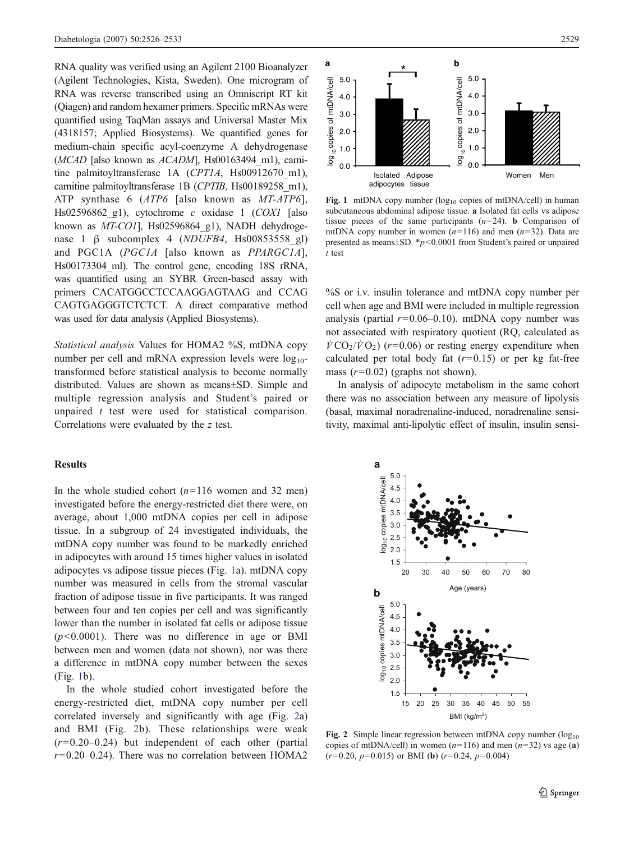RNA quality was verified using an Agilent 2100 Bioanalyzer (Agilent Technologies, Kista, Sweden). One microgram of RNA was reverse transcribed using an Omniscript RT kit (Qiagen) and random hexamer primers. Specific mRNAs were quantified using TaqMan assays and Universal Master Mix (4318157; Applied Biosystems). We quantified genes for medium-chain specific acyl-coenzyme A dehydrogenase (MCAD [also known as  $ACADM$ ], Hs00163494 m1), carnitine palmitoyltransferase 1A (CPT1A, Hs00912670 m1), carnitine palmitoyltransferase 1B (CPTIB, Hs00189258\_m1), ATP synthase 6 (ATP6 [also known as MT-ATP6], Hs02596862 g1), cytochrome c oxidase 1  $(COXI)$  [also known as MT-CO1], Hs02596864 g1), NADH dehydrogenase 1 β subcomplex 4 (NDUFB4, Hs00853558\_gl) and PGC1A (PGC1A [also known as PPARGC1A], Hs00173304\_ml). The control gene, encoding 18S rRNA, was quantified using an SYBR Green-based assay with primers CACATGGCCTCCAAGGAGTAAG and CCAG CAGTGAGGGTCTCTCT. A direct comparative method was used for data analysis (Applied Biosystems).

Statistical analysis Values for HOMA2 %S, mtDNA copy number per cell and mRNA expression levels were  $log_{10}$ transformed before statistical analysis to become normally distributed. Values are shown as means±SD. Simple and multiple regression analysis and Student's paired or unpaired  $t$  test were used for statistical comparison. Correlations were evaluated by the z test.

## **Results**

In the whole studied cohort  $(n=116$  women and 32 men) investigated before the energy-restricted diet there were, on average, about 1,000 mtDNA copies per cell in adipose tissue. In a subgroup of 24 investigated individuals, the mtDNA copy number was found to be markedly enriched in adipocytes with around 15 times higher values in isolated adipocytes vs adipose tissue pieces (Fig. 1a). mtDNA copy number was measured in cells from the stromal vascular fraction of adipose tissue in five participants. It was ranged between four and ten copies per cell and was significantly lower than the number in isolated fat cells or adipose tissue  $(p<0.0001)$ . There was no difference in age or BMI between men and women (data not shown), nor was there a difference in mtDNA copy number between the sexes (Fig. 1b).

In the whole studied cohort investigated before the energy-restricted diet, mtDNA copy number per cell correlated inversely and significantly with age (Fig. 2a) and BMI (Fig. 2b). These relationships were weak  $(r=0.20-0.24)$  but independent of each other (partial  $r=0.20-0.24$ ). There was no correlation between HOMA2



Fig. 1 mtDNA copy number  $(log_{10}$  copies of mtDNA/cell) in human subcutaneous abdominal adipose tissue. a Isolated fat cells vs adipose tissue pieces of the same participants  $(n=24)$ . **b** Comparison of mtDNA copy number in women  $(n=116)$  and men  $(n=32)$ . Data are presented as means $\pm$ SD.  $\ast$ p<0.0001 from Student's paired or unpaired t test

%S or i.v. insulin tolerance and mtDNA copy number per cell when age and BMI were included in multiple regression analysis (partial  $r=0.06-0.10$ ). mtDNA copy number was not associated with respiratory quotient (RQ, calculated as  $\dot{V} \text{CO}_2/\dot{V} \text{O}_2$ ) (r=0.06) or resting energy expenditure when calculated per total body fat  $(r=0.15)$  or per kg fat-free mass  $(r=0.02)$  (graphs not shown).

In analysis of adipocyte metabolism in the same cohort there was no association between any measure of lipolysis (basal, maximal noradrenaline-induced, noradrenaline sensitivity, maximal anti-lipolytic effect of insulin, insulin sensi-



Fig. 2 Simple linear regression between mtDNA copy number  $(\log_{10}$ copies of mtDNA/cell) in women  $(n=116)$  and men  $(n=32)$  vs age (a)  $(r=0.20, p=0.015)$  or BMI (b)  $(r=0.24, p=0.004)$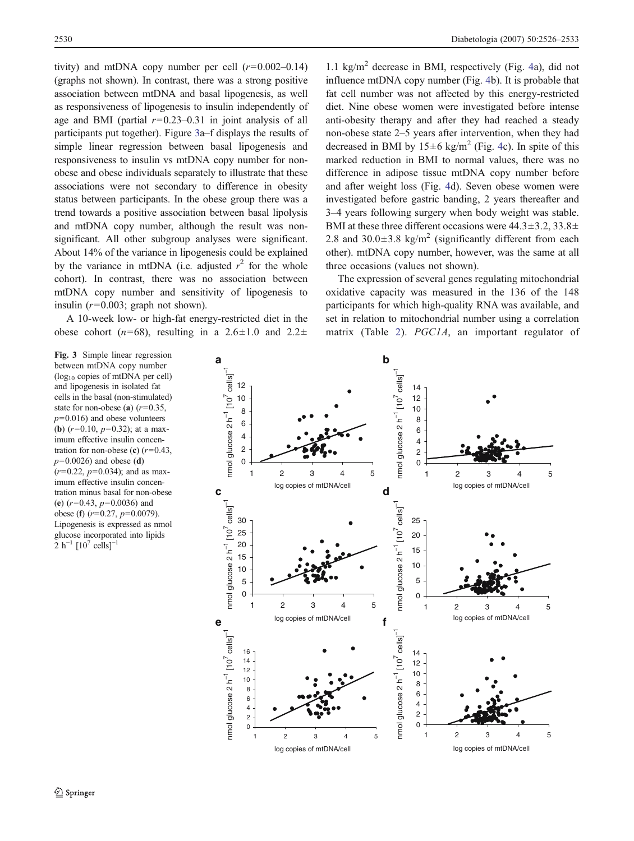tivity) and mtDNA copy number per cell  $(r=0.002-0.14)$ (graphs not shown). In contrast, there was a strong positive association between mtDNA and basal lipogenesis, as well as responsiveness of lipogenesis to insulin independently of age and BMI (partial  $r=0.23-0.31$  in joint analysis of all participants put together). Figure 3a–f displays the results of simple linear regression between basal lipogenesis and responsiveness to insulin vs mtDNA copy number for nonobese and obese individuals separately to illustrate that these associations were not secondary to difference in obesity status between participants. In the obese group there was a trend towards a positive association between basal lipolysis and mtDNA copy number, although the result was nonsignificant. All other subgroup analyses were significant. About 14% of the variance in lipogenesis could be explained by the variance in mtDNA (i.e. adjusted  $r^2$  for the whole cohort). In contrast, there was no association between mtDNA copy number and sensitivity of lipogenesis to insulin  $(r=0.003;$  graph not shown).

A 10-week low- or high-fat energy-restricted diet in the obese cohort ( $n=68$ ), resulting in a 2.6 $\pm$ 1.0 and 2.2 $\pm$ 

Fig. 3 Simple linear regression between mtDNA copy number (log10 copies of mtDNA per cell) and lipogenesis in isolated fat cells in the basal (non-stimulated) state for non-obese (a)  $(r=0.35,$  $p=0.016$ ) and obese volunteers (**b**)  $(r=0.10, p=0.32)$ ; at a maximum effective insulin concentration for non-obese (c)  $(r=0.43,$  $p=0.0026$ ) and obese (d)  $(r=0.22, p=0.034)$ ; and as maximum effective insulin concentration minus basal for non-obese (e)  $(r=0.43, p=0.0036)$  and obese (f)  $(r=0.27, p=0.0079)$ . Lipogenesis is expressed as nmol glucose incorporated into lipids 2 h<sup>-1</sup>  $[10^7 \text{ cells}]^{-1}$ 

1.1 kg/m<sup>2</sup> decrease in BMI, respectively (Fig. [4a](#page-5-0)), did not influence mtDNA copy number (Fig. [4](#page-5-0)b). It is probable that fat cell number was not affected by this energy-restricted diet. Nine obese women were investigated before intense anti-obesity therapy and after they had reached a steady non-obese state 2–5 years after intervention, when they had decreased in BMI by  $15\pm6$  kg/m<sup>2</sup> (Fig. [4c](#page-5-0)). In spite of this marked reduction in BMI to normal values, there was no difference in adipose tissue mtDNA copy number before and after weight loss (Fig. [4](#page-5-0)d). Seven obese women were investigated before gastric banding, 2 years thereafter and 3–4 years following surgery when body weight was stable. BMI at these three different occasions were 44.3±3.2, 33.8± 2.8 and 30.0 $\pm$ 3.8 kg/m<sup>2</sup> (significantly different from each other). mtDNA copy number, however, was the same at all three occasions (values not shown).

The expression of several genes regulating mitochondrial oxidative capacity was measured in the 136 of the 148 participants for which high-quality RNA was available, and set in relation to mitochondrial number using a correlation matrix (Table [2\)](#page-5-0). PGC1A, an important regulator of

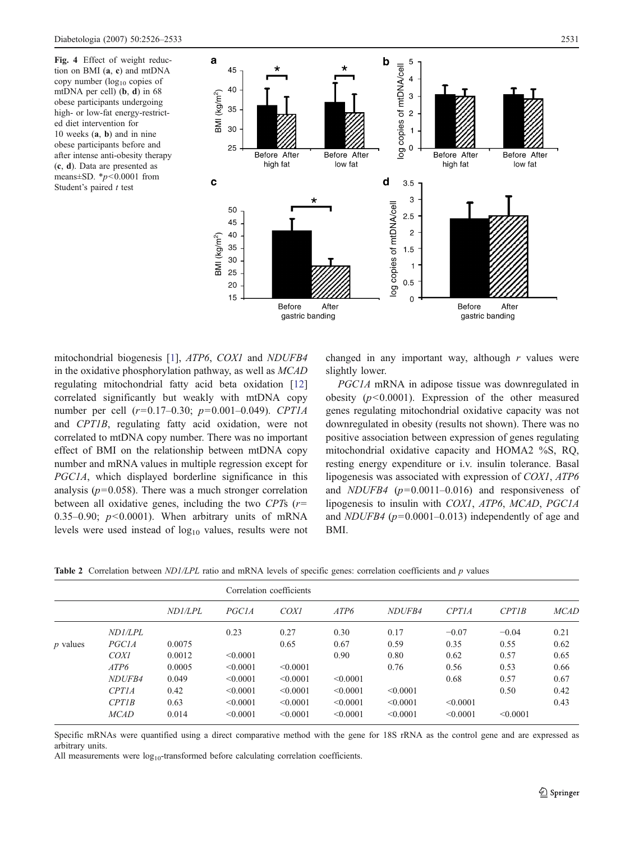<span id="page-5-0"></span>Fig. 4 Effect of weight reduction on BMI (a, c) and mtDNA copy number  $(log_{10}$  copies of mtDNA per cell) (b, d) in 68 obese participants undergoing high- or low-fat energy-restricted diet intervention for 10 weeks (a, b) and in nine obese participants before and after intense anti-obesity therapy (c, d). Data are presented as means $\pm$ SD. \* $p$ <0.0001 from Student's paired  $t$  test



mitochondrial biogenesis [[1\]](#page-7-0), ATP6, COX1 and NDUFB4 in the oxidative phosphorylation pathway, as well as MCAD regulating mitochondrial fatty acid beta oxidation [[12\]](#page-7-0) correlated significantly but weakly with mtDNA copy number per cell  $(r=0.17-0.30; p=0.001-0.049)$ . CPT1A and CPT1B, regulating fatty acid oxidation, were not correlated to mtDNA copy number. There was no important effect of BMI on the relationship between mtDNA copy number and mRNA values in multiple regression except for PGC1A, which displayed borderline significance in this analysis ( $p=0.058$ ). There was a much stronger correlation between all oxidative genes, including the two CPTs  $(r=$ 0.35–0.90;  $p<0.0001$ ). When arbitrary units of mRNA levels were used instead of  $log_{10}$  values, results were not changed in any important way, although  $r$  values were slightly lower.

PGC1A mRNA in adipose tissue was downregulated in obesity  $(p<0.0001)$ . Expression of the other measured genes regulating mitochondrial oxidative capacity was not downregulated in obesity (results not shown). There was no positive association between expression of genes regulating mitochondrial oxidative capacity and HOMA2 %S, RQ, resting energy expenditure or i.v. insulin tolerance. Basal lipogenesis was associated with expression of COX1, ATP6 and *NDUFB4* ( $p=0.0011-0.016$ ) and responsiveness of lipogenesis to insulin with COX1, ATP6, MCAD, PGC1A and *NDUFB4* ( $p=0.0001-0.013$ ) independently of age and BMI.

Table 2 Correlation between ND1/LPL ratio and mRNA levels of specific genes: correlation coefficients and p values

|            |                    |                | Correlation coefficients |          |          |               |          |          |             |
|------------|--------------------|----------------|--------------------------|----------|----------|---------------|----------|----------|-------------|
|            |                    | <i>ND1/LPL</i> | PGC1A                    | COXI     | ATP6     | <b>NDUFB4</b> | CPTIA    | CPTIB    | <b>MCAD</b> |
|            | ND1/LPL            |                | 0.23                     | 0.27     | 0.30     | 0.17          | $-0.07$  | $-0.04$  | 0.21        |
| $p$ values | <i>PGC1A</i>       | 0.0075         |                          | 0.65     | 0.67     | 0.59          | 0.35     | 0.55     | 0.62        |
|            | COXI               | 0.0012         | < 0.0001                 |          | 0.90     | 0.80          | 0.62     | 0.57     | 0.65        |
|            | ATP6               | 0.0005         | < 0.0001                 | < 0.0001 |          | 0.76          | 0.56     | 0.53     | 0.66        |
|            | NDUF <sub>B4</sub> | 0.049          | < 0.0001                 | < 0.0001 | < 0.0001 |               | 0.68     | 0.57     | 0.67        |
|            | CPTIA              | 0.42           | < 0.0001                 | < 0.0001 | < 0.0001 | < 0.0001      |          | 0.50     | 0.42        |
|            | CPTIB              | 0.63           | < 0.0001                 | < 0.0001 | < 0.0001 | < 0.0001      | < 0.0001 |          | 0.43        |
|            | <b>MCAD</b>        | 0.014          | < 0.0001                 | < 0.0001 | < 0.0001 | < 0.0001      | < 0.0001 | < 0.0001 |             |

Specific mRNAs were quantified using a direct comparative method with the gene for 18S rRNA as the control gene and are expressed as arbitrary units.

All measurements were  $log_{10}$ -transformed before calculating correlation coefficients.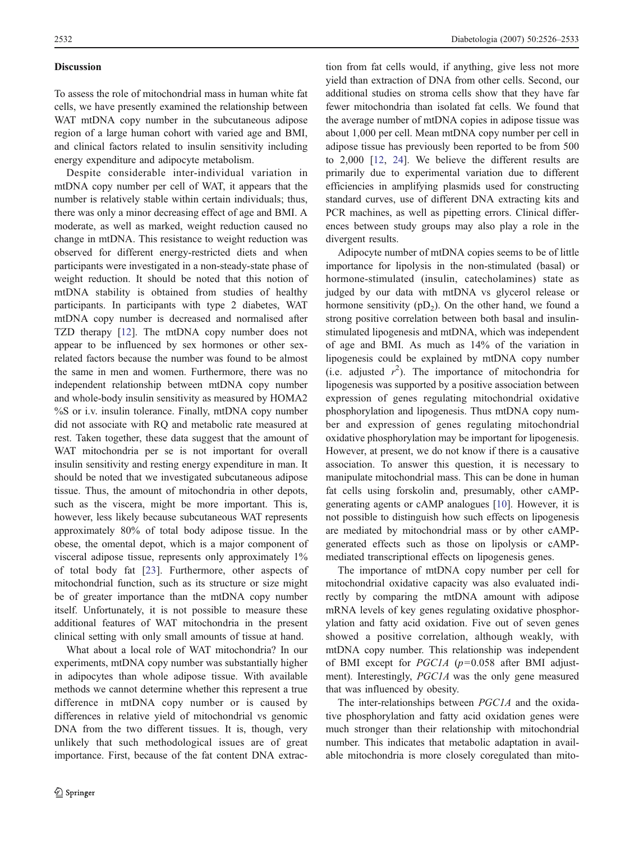## Discussion

To assess the role of mitochondrial mass in human white fat cells, we have presently examined the relationship between WAT mtDNA copy number in the subcutaneous adipose region of a large human cohort with varied age and BMI, and clinical factors related to insulin sensitivity including energy expenditure and adipocyte metabolism.

Despite considerable inter-individual variation in mtDNA copy number per cell of WAT, it appears that the number is relatively stable within certain individuals; thus, there was only a minor decreasing effect of age and BMI. A moderate, as well as marked, weight reduction caused no change in mtDNA. This resistance to weight reduction was observed for different energy-restricted diets and when participants were investigated in a non-steady-state phase of weight reduction. It should be noted that this notion of mtDNA stability is obtained from studies of healthy participants. In participants with type 2 diabetes, WAT mtDNA copy number is decreased and normalised after TZD therapy [[12\]](#page-7-0). The mtDNA copy number does not appear to be influenced by sex hormones or other sexrelated factors because the number was found to be almost the same in men and women. Furthermore, there was no independent relationship between mtDNA copy number and whole-body insulin sensitivity as measured by HOMA2 %S or i.v. insulin tolerance. Finally, mtDNA copy number did not associate with RQ and metabolic rate measured at rest. Taken together, these data suggest that the amount of WAT mitochondria per se is not important for overall insulin sensitivity and resting energy expenditure in man. It should be noted that we investigated subcutaneous adipose tissue. Thus, the amount of mitochondria in other depots, such as the viscera, might be more important. This is, however, less likely because subcutaneous WAT represents approximately 80% of total body adipose tissue. In the obese, the omental depot, which is a major component of visceral adipose tissue, represents only approximately 1% of total body fat [[23](#page-7-0)]. Furthermore, other aspects of mitochondrial function, such as its structure or size might be of greater importance than the mtDNA copy number itself. Unfortunately, it is not possible to measure these additional features of WAT mitochondria in the present clinical setting with only small amounts of tissue at hand.

What about a local role of WAT mitochondria? In our experiments, mtDNA copy number was substantially higher in adipocytes than whole adipose tissue. With available methods we cannot determine whether this represent a true difference in mtDNA copy number or is caused by differences in relative yield of mitochondrial vs genomic DNA from the two different tissues. It is, though, very unlikely that such methodological issues are of great importance. First, because of the fat content DNA extrac-

tion from fat cells would, if anything, give less not more yield than extraction of DNA from other cells. Second, our additional studies on stroma cells show that they have far fewer mitochondria than isolated fat cells. We found that the average number of mtDNA copies in adipose tissue was about 1,000 per cell. Mean mtDNA copy number per cell in adipose tissue has previously been reported to be from 500 to 2,000 [[12,](#page-7-0) [24](#page-7-0)]. We believe the different results are primarily due to experimental variation due to different efficiencies in amplifying plasmids used for constructing standard curves, use of different DNA extracting kits and PCR machines, as well as pipetting errors. Clinical differences between study groups may also play a role in the divergent results.

Adipocyte number of mtDNA copies seems to be of little importance for lipolysis in the non-stimulated (basal) or hormone-stimulated (insulin, catecholamines) state as judged by our data with mtDNA vs glycerol release or hormone sensitivity  $(pD_2)$ . On the other hand, we found a strong positive correlation between both basal and insulinstimulated lipogenesis and mtDNA, which was independent of age and BMI. As much as 14% of the variation in lipogenesis could be explained by mtDNA copy number (i.e. adjusted  $r^2$ ). The importance of mitochondria for lipogenesis was supported by a positive association between expression of genes regulating mitochondrial oxidative phosphorylation and lipogenesis. Thus mtDNA copy number and expression of genes regulating mitochondrial oxidative phosphorylation may be important for lipogenesis. However, at present, we do not know if there is a causative association. To answer this question, it is necessary to manipulate mitochondrial mass. This can be done in human fat cells using forskolin and, presumably, other cAMPgenerating agents or cAMP analogues [\[10](#page-7-0)]. However, it is not possible to distinguish how such effects on lipogenesis are mediated by mitochondrial mass or by other cAMPgenerated effects such as those on lipolysis or cAMPmediated transcriptional effects on lipogenesis genes.

The importance of mtDNA copy number per cell for mitochondrial oxidative capacity was also evaluated indirectly by comparing the mtDNA amount with adipose mRNA levels of key genes regulating oxidative phosphorylation and fatty acid oxidation. Five out of seven genes showed a positive correlation, although weakly, with mtDNA copy number. This relationship was independent of BMI except for  $PGC1A$  ( $p=0.058$  after BMI adjustment). Interestingly, PGC1A was the only gene measured that was influenced by obesity.

The inter-relationships between PGC1A and the oxidative phosphorylation and fatty acid oxidation genes were much stronger than their relationship with mitochondrial number. This indicates that metabolic adaptation in available mitochondria is more closely coregulated than mito